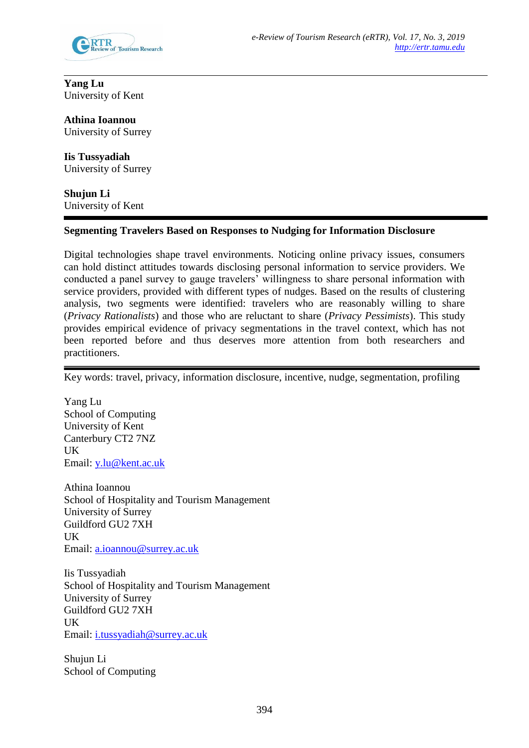

**Yang Lu** University of Kent

**Athina Ioannou** University of Surrey

**Iis Tussyadiah** University of Surrey

**Shujun Li** University of Kent

## **Segmenting Travelers Based on Responses to Nudging for Information Disclosure**

Digital technologies shape travel environments. Noticing online privacy issues, consumers can hold distinct attitudes towards disclosing personal information to service providers. We conducted a panel survey to gauge travelers' willingness to share personal information with service providers, provided with different types of nudges. Based on the results of clustering analysis, two segments were identified: travelers who are reasonably willing to share (*Privacy Rationalists*) and those who are reluctant to share (*Privacy Pessimists*). This study provides empirical evidence of privacy segmentations in the travel context, which has not been reported before and thus deserves more attention from both researchers and practitioners.

Key words: travel, privacy, information disclosure, incentive, nudge, segmentation, profiling

Yang Lu School of Computing University of Kent Canterbury CT2 7NZ UK Email: [y.lu@kent.ac.uk](mailto:y.lu@kent.ac.uk)

Athina Ioannou School of Hospitality and Tourism Management University of Surrey Guildford GU2 7XH UK Email: [a.ioannou@surrey.ac.uk](mailto:a.ioannou@surrey.ac.uk)

Iis Tussyadiah School of Hospitality and Tourism Management University of Surrey Guildford GU2 7XH UK Email: [i.tussyadiah@surrey.ac.uk](mailto:i.tussyadiah@surrey.ac.uk)

Shujun Li School of Computing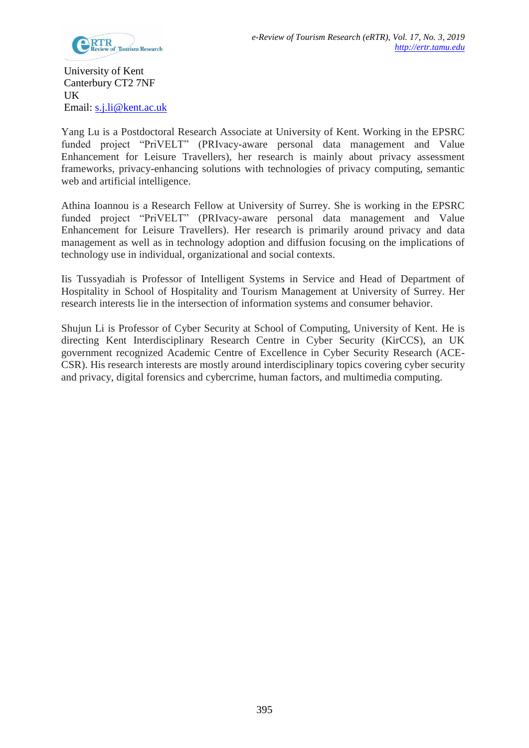

University of Kent Canterbury CT2 7NF UK Email: [s.j.li@kent.ac.uk](mailto:s.j.li@kent.ac.uk)

Yang Lu is a Postdoctoral Research Associate at University of Kent. Working in the EPSRC funded project "PriVELT" (PRIvacy-aware personal data management and Value Enhancement for Leisure Travellers), her research is mainly about privacy assessment frameworks, privacy-enhancing solutions with technologies of privacy computing, semantic web and artificial intelligence.

Athina Ioannou is a Research Fellow at University of Surrey. She is working in the EPSRC funded project "PriVELT" (PRIvacy-aware personal data management and Value Enhancement for Leisure Travellers). Her research is primarily around privacy and data management as well as in technology adoption and diffusion focusing on the implications of technology use in individual, organizational and social contexts.

Iis Tussyadiah is Professor of Intelligent Systems in Service and Head of Department of Hospitality in School of Hospitality and Tourism Management at University of Surrey. Her research interests lie in the intersection of information systems and consumer behavior.

Shujun Li is Professor of Cyber Security at School of Computing, University of Kent. He is directing Kent Interdisciplinary Research Centre in Cyber Security (KirCCS), an UK government recognized Academic Centre of Excellence in Cyber Security Research (ACE-CSR). His research interests are mostly around interdisciplinary topics covering cyber security and privacy, digital forensics and cybercrime, human factors, and multimedia computing.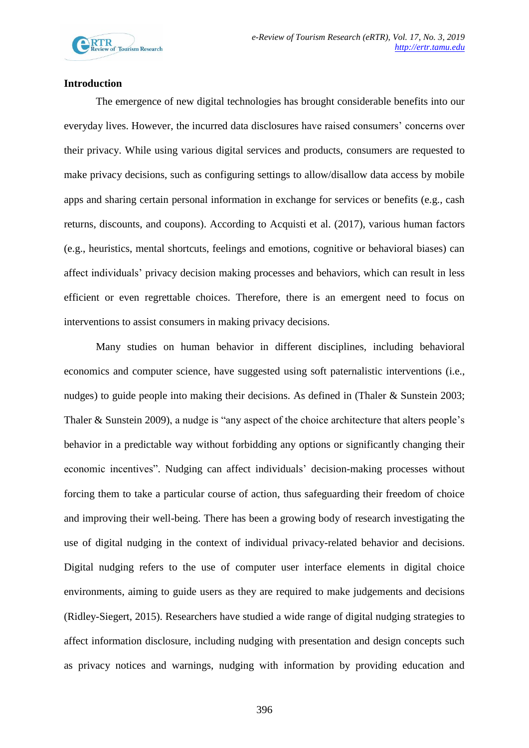

## **Introduction**

The emergence of new digital technologies has brought considerable benefits into our everyday lives. However, the incurred data disclosures have raised consumers' concerns over their privacy. While using various digital services and products, consumers are requested to make privacy decisions, such as configuring settings to allow/disallow data access by mobile apps and sharing certain personal information in exchange for services or benefits (e.g., cash returns, discounts, and coupons). According to Acquisti et al. (2017), various human factors (e.g., heuristics, mental shortcuts, feelings and emotions, cognitive or behavioral biases) can affect individuals' privacy decision making processes and behaviors, which can result in less efficient or even regrettable choices. Therefore, there is an emergent need to focus on interventions to assist consumers in making privacy decisions.

Many studies on human behavior in different disciplines, including behavioral economics and computer science, have suggested using soft paternalistic interventions (i.e., nudges) to guide people into making their decisions. As defined in (Thaler & Sunstein 2003; Thaler & Sunstein 2009), a nudge is "any aspect of the choice architecture that alters people's behavior in a predictable way without forbidding any options or significantly changing their economic incentives". Nudging can affect individuals' decision-making processes without forcing them to take a particular course of action, thus safeguarding their freedom of choice and improving their well-being. There has been a growing body of research investigating the use of digital nudging in the context of individual privacy-related behavior and decisions. Digital nudging refers to the use of computer user interface elements in digital choice environments, aiming to guide users as they are required to make judgements and decisions (Ridley-Siegert, 2015). Researchers have studied a wide range of digital nudging strategies to affect information disclosure, including nudging with presentation and design concepts such as privacy notices and warnings, nudging with information by providing education and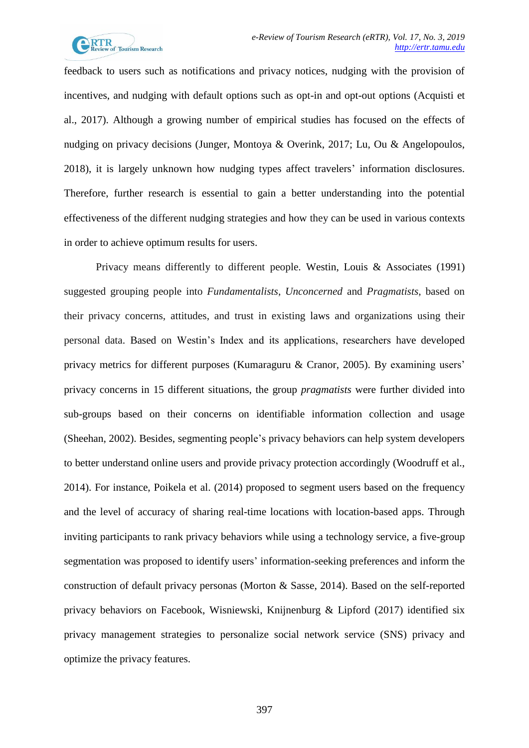

feedback to users such as notifications and privacy notices, nudging with the provision of incentives, and nudging with default options such as opt-in and opt-out options (Acquisti et al., 2017). Although a growing number of empirical studies has focused on the effects of nudging on privacy decisions (Junger, Montoya & Overink, 2017; Lu, Ou & Angelopoulos, 2018), it is largely unknown how nudging types affect travelers' information disclosures. Therefore, further research is essential to gain a better understanding into the potential effectiveness of the different nudging strategies and how they can be used in various contexts in order to achieve optimum results for users.

Privacy means differently to different people. Westin, Louis & Associates (1991) suggested grouping people into *Fundamentalists*, *Unconcerned* and *Pragmatists*, based on their privacy concerns, attitudes, and trust in existing laws and organizations using their personal data. Based on Westin's Index and its applications, researchers have developed privacy metrics for different purposes (Kumaraguru & Cranor, 2005). By examining users' privacy concerns in 15 different situations, the group *pragmatists* were further divided into sub-groups based on their concerns on identifiable information collection and usage (Sheehan, 2002). Besides, segmenting people's privacy behaviors can help system developers to better understand online users and provide privacy protection accordingly (Woodruff et al., 2014). For instance, Poikela et al. (2014) proposed to segment users based on the frequency and the level of accuracy of sharing real-time locations with location-based apps. Through inviting participants to rank privacy behaviors while using a technology service, a five-group segmentation was proposed to identify users' information-seeking preferences and inform the construction of default privacy personas (Morton & Sasse, 2014). Based on the self-reported privacy behaviors on Facebook, Wisniewski, Knijnenburg & Lipford (2017) identified six privacy management strategies to personalize social network service (SNS) privacy and optimize the privacy features.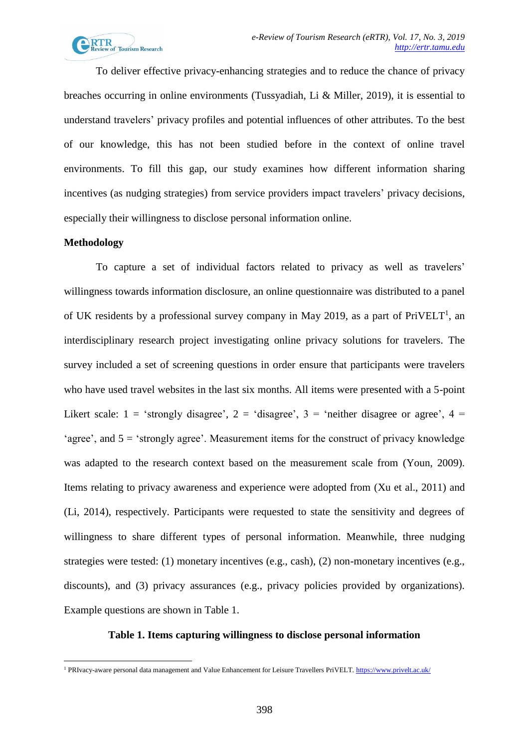

To deliver effective privacy-enhancing strategies and to reduce the chance of privacy breaches occurring in online environments (Tussyadiah, Li & Miller, 2019), it is essential to understand travelers' privacy profiles and potential influences of other attributes. To the best of our knowledge, this has not been studied before in the context of online travel environments. To fill this gap, our study examines how different information sharing incentives (as nudging strategies) from service providers impact travelers' privacy decisions, especially their willingness to disclose personal information online.

#### **Methodology**

<span id="page-4-0"></span>1

To capture a set of individual factors related to privacy as well as travelers' willingness towards information disclosure, an online questionnaire was distributed to a panel of UK residents by a professional survey company in May 2019, as a part of  $PriVELT<sup>1</sup>$ , an interdisciplinary research project investigating online privacy solutions for travelers. The survey included a set of screening questions in order ensure that participants were travelers who have used travel websites in the last six months. All items were presented with a 5-point Likert scale:  $1 = 'strongly disagree', 2 = 'disagree', 3 = 'neither disagree or agree', 4 =$ 'agree', and 5 = 'strongly agree'. Measurement items for the construct of privacy knowledge was adapted to the research context based on the measurement scale from (Youn, 2009). Items relating to privacy awareness and experience were adopted from (Xu et al., 2011) and (Li, 2014), respectively. Participants were requested to state the sensitivity and degrees of willingness to share different types of personal information. Meanwhile, three nudging strategies were tested: (1) monetary incentives (e.g., cash), (2) non-monetary incentives (e.g., discounts), and (3) privacy assurances (e.g., privacy policies provided by organizations). Example questions are shown in [Table 1.](#page-4-0)

## **Table 1. Items capturing willingness to disclose personal information**

<sup>1</sup> PRIvacy-aware personal data management and Value Enhancement for Leisure Travellers PriVELT.<https://www.privelt.ac.uk/>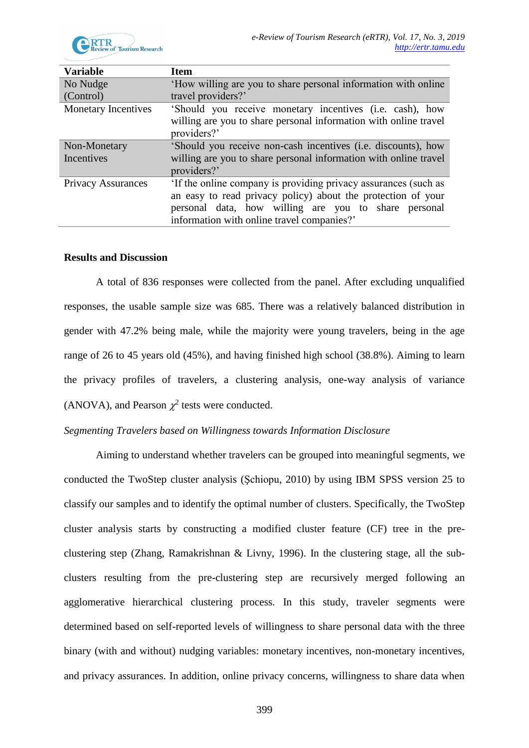

| <b>Variable</b>            | <b>Item</b>                                                      |  |  |
|----------------------------|------------------------------------------------------------------|--|--|
| No Nudge                   | 'How willing are you to share personal information with online   |  |  |
| (Control)                  | travel providers?'                                               |  |  |
| <b>Monetary Incentives</b> | 'Should you receive monetary incentives (i.e. cash), how         |  |  |
|                            | willing are you to share personal information with online travel |  |  |
|                            | providers?'                                                      |  |  |
| Non-Monetary               | 'Should you receive non-cash incentives (i.e. discounts), how    |  |  |
| Incentives                 | willing are you to share personal information with online travel |  |  |
|                            | providers?'                                                      |  |  |
| <b>Privacy Assurances</b>  | 'If the online company is providing privacy assurances (such as  |  |  |
|                            | an easy to read privacy policy) about the protection of your     |  |  |
|                            | personal data, how willing are you to share personal             |  |  |
|                            | information with online travel companies?'                       |  |  |

#### **Results and Discussion**

A total of 836 responses were collected from the panel. After excluding unqualified responses, the usable sample size was 685. There was a relatively balanced distribution in gender with 47.2% being male, while the majority were young travelers, being in the age range of 26 to 45 years old (45%), and having finished high school (38.8%). Aiming to learn the privacy profiles of travelers, a clustering analysis, one-way analysis of variance (ANOVA), and Pearson  $\chi^2$  tests were conducted.

## *Segmenting Travelers based on Willingness towards Information Disclosure*

Aiming to understand whether travelers can be grouped into meaningful segments, we conducted the TwoStep cluster analysis (Şchiopu, 2010) by using IBM SPSS version 25 to classify our samples and to identify the optimal number of clusters. Specifically, the TwoStep cluster analysis starts by constructing a modified cluster feature (CF) tree in the preclustering step (Zhang, Ramakrishnan & Livny, 1996). In the clustering stage, all the subclusters resulting from the pre-clustering step are recursively merged following an agglomerative hierarchical clustering process. In this study, traveler segments were determined based on self-reported levels of willingness to share personal data with the three binary (with and without) nudging variables: monetary incentives, non-monetary incentives, and privacy assurances. In addition, online privacy concerns, willingness to share data when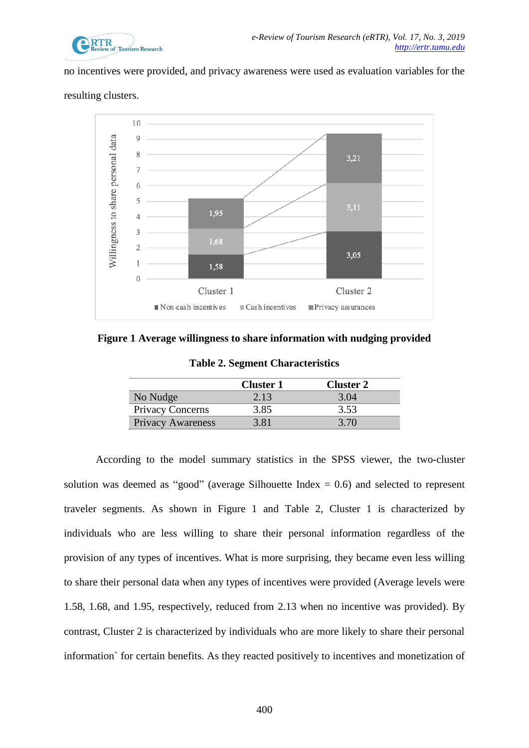

no incentives were provided, and privacy awareness were used as evaluation variables for the





<span id="page-6-1"></span><span id="page-6-0"></span>**Figure 1 Average willingness to share information with nudging provided**

|  |  | <b>Table 2. Segment Characteristics</b> |  |  |
|--|--|-----------------------------------------|--|--|
|--|--|-----------------------------------------|--|--|

|                          | <b>Cluster 1</b> | Cluster 2 |
|--------------------------|------------------|-----------|
| No Nudge                 | 2.13             | 3.04      |
| Privacy Concerns         | 3.85             | 3.53      |
| <b>Privacy Awareness</b> | 3.81             | 3.70      |

According to the model summary statistics in the SPSS viewer, the two-cluster solution was deemed as "good" (average Silhouette Index  $= 0.6$ ) and selected to represent traveler segments. As shown in [Figure 1](#page-6-0) and [Table 2,](#page-6-1) Cluster 1 is characterized by individuals who are less willing to share their personal information regardless of the provision of any types of incentives. What is more surprising, they became even less willing to share their personal data when any types of incentives were provided (Average levels were 1.58, 1.68, and 1.95, respectively, reduced from 2.13 when no incentive was provided). By contrast, Cluster 2 is characterized by individuals who are more likely to share their personal information` for certain benefits. As they reacted positively to incentives and monetization of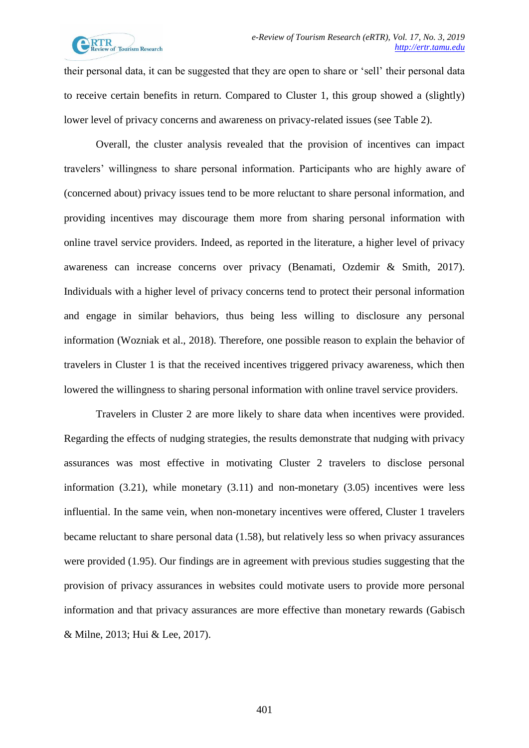

their personal data, it can be suggested that they are open to share or 'sell' their personal data to receive certain benefits in return. Compared to Cluster 1, this group showed a (slightly) lower level of privacy concerns and awareness on privacy-related issues (see [Table 2\)](#page-6-1).

Overall, the cluster analysis revealed that the provision of incentives can impact travelers' willingness to share personal information. Participants who are highly aware of (concerned about) privacy issues tend to be more reluctant to share personal information, and providing incentives may discourage them more from sharing personal information with online travel service providers. Indeed, as reported in the literature, a higher level of privacy awareness can increase concerns over privacy (Benamati, Ozdemir & Smith, 2017). Individuals with a higher level of privacy concerns tend to protect their personal information and engage in similar behaviors, thus being less willing to disclosure any personal information (Wozniak et al., 2018). Therefore, one possible reason to explain the behavior of travelers in Cluster 1 is that the received incentives triggered privacy awareness, which then lowered the willingness to sharing personal information with online travel service providers.

Travelers in Cluster 2 are more likely to share data when incentives were provided. Regarding the effects of nudging strategies, the results demonstrate that nudging with privacy assurances was most effective in motivating Cluster 2 travelers to disclose personal information (3.21), while monetary (3.11) and non-monetary (3.05) incentives were less influential. In the same vein, when non-monetary incentives were offered, Cluster 1 travelers became reluctant to share personal data (1.58), but relatively less so when privacy assurances were provided (1.95). Our findings are in agreement with previous studies suggesting that the provision of privacy assurances in websites could motivate users to provide more personal information and that privacy assurances are more effective than monetary rewards (Gabisch & Milne, 2013; Hui & Lee, 2017).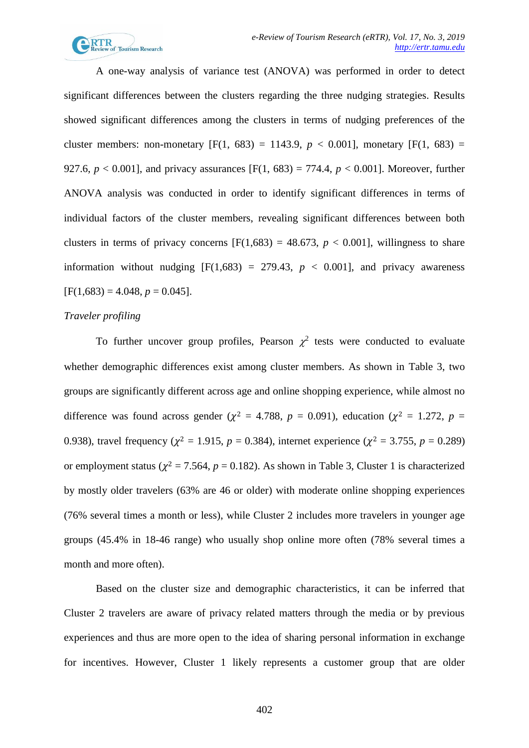

A one-way analysis of variance test (ANOVA) was performed in order to detect significant differences between the clusters regarding the three nudging strategies. Results showed significant differences among the clusters in terms of nudging preferences of the cluster members: non-monetary  $[F(1, 683) = 1143.9, p < 0.001]$ , monetary  $[F(1, 683) =$ 927.6,  $p < 0.001$ ], and privacy assurances [F(1, 683) = 774.4,  $p < 0.001$ ]. Moreover, further ANOVA analysis was conducted in order to identify significant differences in terms of individual factors of the cluster members, revealing significant differences between both clusters in terms of privacy concerns  $[F(1,683) = 48.673, p < 0.001]$ , willingness to share information without nudging  $[F(1,683) = 279.43, p < 0.001]$ , and privacy awareness  $[F(1,683) = 4.048, p = 0.045].$ 

#### *Traveler profiling*

To further uncover group profiles, Pearson  $\chi^2$  tests were conducted to evaluate whether demographic differences exist among cluster members. As shown in [Table 3,](#page-9-0) two groups are significantly different across age and online shopping experience, while almost no difference was found across gender ( $\chi^2$  = 4.788, *p* = 0.091), education ( $\chi^2$  = 1.272, *p* = 0.938), travel frequency ( $\chi^2 = 1.915$ ,  $p = 0.384$ ), internet experience ( $\chi^2 = 3.755$ ,  $p = 0.289$ ) or employment status ( $\chi^2$  = 7.564,  $p$  = 0.182). As shown in [Table 3,](#page-9-0) Cluster 1 is characterized by mostly older travelers (63% are 46 or older) with moderate online shopping experiences (76% several times a month or less), while Cluster 2 includes more travelers in younger age groups (45.4% in 18-46 range) who usually shop online more often (78% several times a month and more often).

Based on the cluster size and demographic characteristics, it can be inferred that Cluster 2 travelers are aware of privacy related matters through the media or by previous experiences and thus are more open to the idea of sharing personal information in exchange for incentives. However, Cluster 1 likely represents a customer group that are older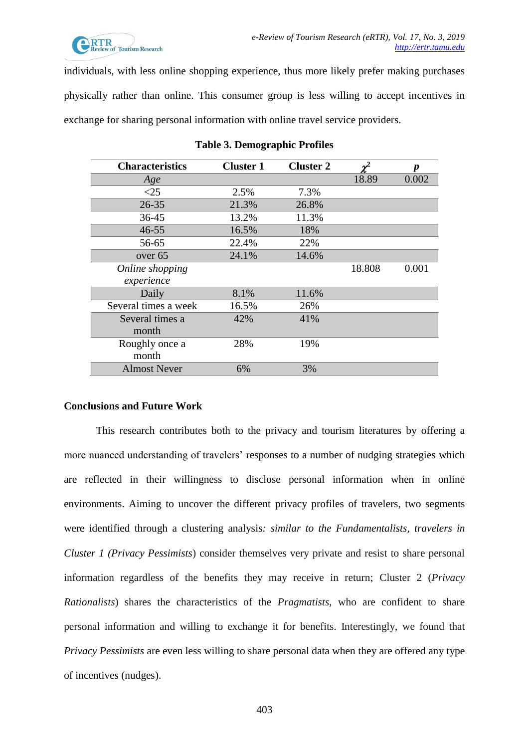

individuals, with less online shopping experience, thus more likely prefer making purchases physically rather than online. This consumer group is less willing to accept incentives in exchange for sharing personal information with online travel service providers.

<span id="page-9-0"></span>

| <b>Characteristics</b> | <b>Cluster 1</b> | <b>Cluster 2</b> |        | D     |
|------------------------|------------------|------------------|--------|-------|
| Age                    |                  |                  | 18.89  | 0.002 |
| <25                    | 2.5%             | 7.3%             |        |       |
| $26 - 35$              | 21.3%            | 26.8%            |        |       |
| $36 - 45$              | 13.2%            | 11.3%            |        |       |
| $46 - 55$              | 16.5%            | 18%              |        |       |
| 56-65                  | 22.4%            | 22%              |        |       |
| over 65                | 24.1%            | 14.6%            |        |       |
| Online shopping        |                  |                  | 18.808 | 0.001 |
| experience             |                  |                  |        |       |
| Daily                  | 8.1%             | 11.6%            |        |       |
| Several times a week   | 16.5%            | 26%              |        |       |
| Several times a        | 42%              | 41%              |        |       |
| month                  |                  |                  |        |       |
| Roughly once a         | 28%              | 19%              |        |       |
| month                  |                  |                  |        |       |
| <b>Almost Never</b>    | 6%               | 3%               |        |       |

#### **Table 3. Demographic Profiles**

## **Conclusions and Future Work**

This research contributes both to the privacy and tourism literatures by offering a more nuanced understanding of travelers' responses to a number of nudging strategies which are reflected in their willingness to disclose personal information when in online environments. Aiming to uncover the different privacy profiles of travelers, two segments were identified through a clustering analysis*: similar to the Fundamentalists, travelers in Cluster 1 (Privacy Pessimists*) consider themselves very private and resist to share personal information regardless of the benefits they may receive in return; Cluster 2 (*Privacy Rationalists*) shares the characteristics of the *Pragmatists,* who are confident to share personal information and willing to exchange it for benefits. Interestingly, we found that *Privacy Pessimists* are even less willing to share personal data when they are offered any type of incentives (nudges).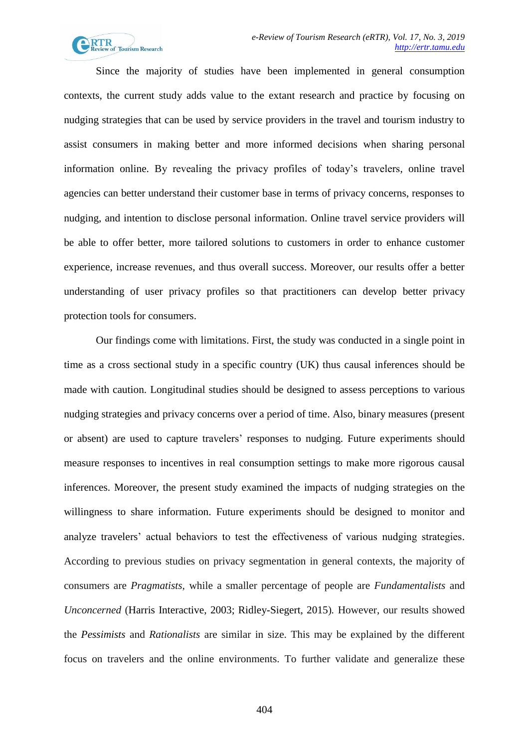

Since the majority of studies have been implemented in general consumption contexts, the current study adds value to the extant research and practice by focusing on nudging strategies that can be used by service providers in the travel and tourism industry to assist consumers in making better and more informed decisions when sharing personal information online. By revealing the privacy profiles of today's travelers, online travel agencies can better understand their customer base in terms of privacy concerns, responses to nudging, and intention to disclose personal information. Online travel service providers will be able to offer better, more tailored solutions to customers in order to enhance customer experience, increase revenues, and thus overall success. Moreover, our results offer a better understanding of user privacy profiles so that practitioners can develop better privacy protection tools for consumers.

Our findings come with limitations. First, the study was conducted in a single point in time as a cross sectional study in a specific country (UK) thus causal inferences should be made with caution. Longitudinal studies should be designed to assess perceptions to various nudging strategies and privacy concerns over a period of time. Also, binary measures (present or absent) are used to capture travelers' responses to nudging. Future experiments should measure responses to incentives in real consumption settings to make more rigorous causal inferences. Moreover, the present study examined the impacts of nudging strategies on the willingness to share information. Future experiments should be designed to monitor and analyze travelers' actual behaviors to test the effectiveness of various nudging strategies. According to previous studies on privacy segmentation in general contexts, the majority of consumers are *Pragmatists,* while a smaller percentage of people are *Fundamentalists* and *Unconcerned* (Harris Interactive, 2003; Ridley-Siegert, 2015)*.* However, our results showed the *Pessimists* and *Rationalists* are similar in size. This may be explained by the different focus on travelers and the online environments. To further validate and generalize these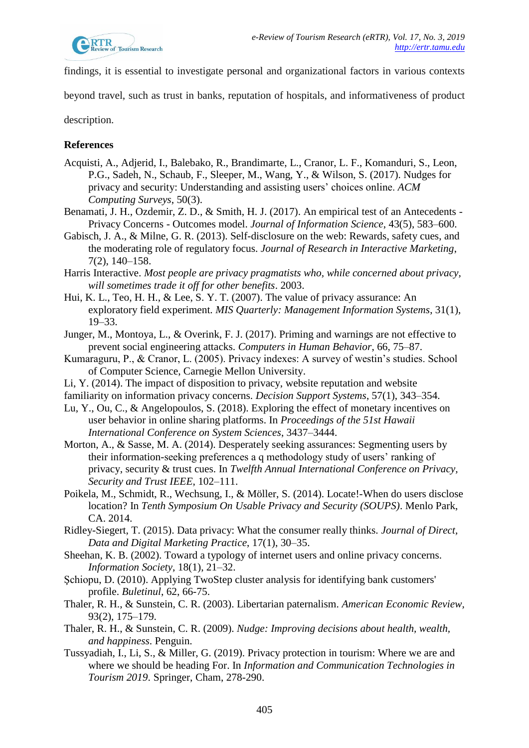

findings, it is essential to investigate personal and organizational factors in various contexts

beyond travel, such as trust in banks, reputation of hospitals, and informativeness of product

description.

# **References**

- Acquisti, A., Adjerid, I., Balebako, R., Brandimarte, L., Cranor, L. F., Komanduri, S., Leon, P.G., Sadeh, N., Schaub, F., Sleeper, M., Wang, Y., & Wilson, S. (2017). Nudges for privacy and security: Understanding and assisting users' choices online. *ACM Computing Surveys*, 50(3).
- Benamati, J. H., Ozdemir, Z. D., & Smith, H. J. (2017). An empirical test of an Antecedents Privacy Concerns - Outcomes model. *Journal of Information Science*, 43(5), 583–600.
- Gabisch, J. A., & Milne, G. R. (2013). Self-disclosure on the web: Rewards, safety cues, and the moderating role of regulatory focus. *Journal of Research in Interactive Marketing*, 7(2), 140–158.
- Harris Interactive. *Most people are privacy pragmatists who, while concerned about privacy, will sometimes trade it off for other benefits*. 2003.
- Hui, K. L., Teo, H. H., & Lee, S. Y. T. (2007). The value of privacy assurance: An exploratory field experiment. *MIS Quarterly: Management Information Systems*, 31(1), 19–33.
- Junger, M., Montoya, L., & Overink, F. J. (2017). Priming and warnings are not effective to prevent social engineering attacks. *Computers in Human Behavior*, 66, 75–87.
- Kumaraguru, P., & Cranor, L. (2005). Privacy indexes: A survey of westin's studies. School of Computer Science, Carnegie Mellon University.
- Li, Y. (2014). The impact of disposition to privacy, website reputation and website
- familiarity on information privacy concerns. *Decision Support Systems*, 57(1), 343–354.
- Lu, Y., Ou, C., & Angelopoulos, S. (2018). Exploring the effect of monetary incentives on user behavior in online sharing platforms. In *Proceedings of the 51st Hawaii International Conference on System Sciences*, 3437–3444.
- Morton, A., & Sasse, M. A. (2014). Desperately seeking assurances: Segmenting users by their information-seeking preferences a q methodology study of users' ranking of privacy, security & trust cues. In *Twelfth Annual International Conference on Privacy, Security and Trust IEEE*, 102–111.
- Poikela, M., Schmidt, R., Wechsung, I., & Möller, S. (2014). Locate!-When do users disclose location? In *Tenth Symposium On Usable Privacy and Security (SOUPS)*. Menlo Park, CA. 2014.
- Ridley-Siegert, T. (2015). Data privacy: What the consumer really thinks. *Journal of Direct, Data and Digital Marketing Practice*, 17(1), 30–35.
- Sheehan, K. B. (2002). Toward a typology of internet users and online privacy concerns. *Information Society*, 18(1), 21–32.
- Şchiopu, D. (2010). Applying TwoStep cluster analysis for identifying bank customers' profile. *Buletinul*, 62, 66-75.
- Thaler, R. H., & Sunstein, C. R. (2003). Libertarian paternalism. *American Economic Review,* 93(2), 175–179.
- Thaler, R. H., & Sunstein, C. R. (2009). *Nudge: Improving decisions about health, wealth, and happiness*. Penguin.
- Tussyadiah, I., Li, S., & Miller, G. (2019). Privacy protection in tourism: Where we are and where we should be heading For. In *Information and Communication Technologies in Tourism 2019*. Springer, Cham, 278-290.